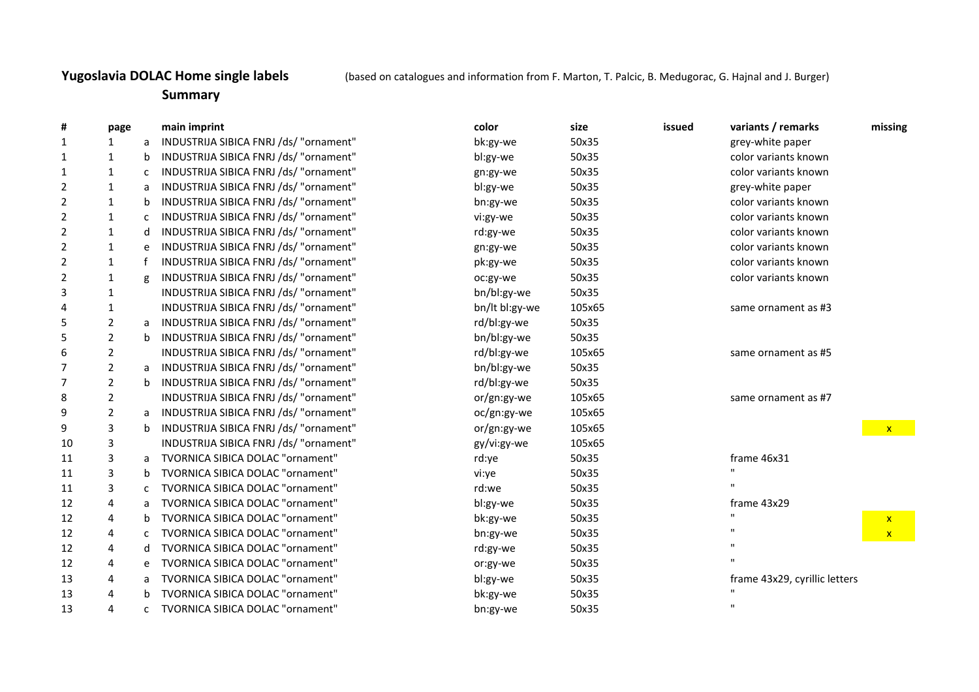## **Yugoslavia DOLAC Home single labels** (based on catalogues and information from F. Marton, T. Palcic, B. Medugorac, G. Hajnal and J. Burger)

## **Summary**

| #              | page           |              | main imprint                           | color          | size   | issued | variants / remarks            | missing      |
|----------------|----------------|--------------|----------------------------------------|----------------|--------|--------|-------------------------------|--------------|
| $\mathbf{1}$   | 1              | a            | INDUSTRIJA SIBICA FNRJ /ds/ "ornament" | bk:gy-we       | 50x35  |        | grey-white paper              |              |
| 1              | $\mathbf{1}$   | b            | INDUSTRIJA SIBICA FNRJ /ds/ "ornament" | bl:gy-we       | 50x35  |        | color variants known          |              |
| 1              | $\mathbf{1}$   | $\mathsf{C}$ | INDUSTRIJA SIBICA FNRJ /ds/ "ornament" | gn:gy-we       | 50x35  |        | color variants known          |              |
| $\overline{2}$ | 1              | a            | INDUSTRIJA SIBICA FNRJ /ds/ "ornament" | bl:gy-we       | 50x35  |        | grey-white paper              |              |
| $\overline{2}$ | $\mathbf{1}$   | b            | INDUSTRIJA SIBICA FNRJ /ds/ "ornament" | bn:gy-we       | 50x35  |        | color variants known          |              |
| 2              | $\mathbf{1}$   | $\mathsf{C}$ | INDUSTRIJA SIBICA FNRJ /ds/ "ornament" | vi:gy-we       | 50x35  |        | color variants known          |              |
| $\overline{2}$ | $\mathbf{1}$   | d            | INDUSTRIJA SIBICA FNRJ /ds/ "ornament" | rd:gy-we       | 50x35  |        | color variants known          |              |
| $\overline{2}$ | $\mathbf{1}$   | e            | INDUSTRIJA SIBICA FNRJ /ds/ "ornament" | gn:gy-we       | 50x35  |        | color variants known          |              |
| $\overline{2}$ | $\mathbf{1}$   | f            | INDUSTRIJA SIBICA FNRJ /ds/ "ornament" | pk:gy-we       | 50x35  |        | color variants known          |              |
| $\overline{2}$ | $\mathbf{1}$   | g            | INDUSTRIJA SIBICA FNRJ /ds/ "ornament" | oc:gy-we       | 50x35  |        | color variants known          |              |
| 3              | $\mathbf{1}$   |              | INDUSTRIJA SIBICA FNRJ /ds/ "ornament" | bn/bl:gy-we    | 50x35  |        |                               |              |
| 4              | $\mathbf{1}$   |              | INDUSTRIJA SIBICA FNRJ /ds/ "ornament" | bn/lt bl:gy-we | 105x65 |        | same ornament as #3           |              |
| 5              | $\overline{2}$ | a            | INDUSTRIJA SIBICA FNRJ /ds/ "ornament" | rd/bl:gy-we    | 50x35  |        |                               |              |
| 5              | $\overline{2}$ | $\mathbf b$  | INDUSTRIJA SIBICA FNRJ /ds/ "ornament" | bn/bl:gy-we    | 50x35  |        |                               |              |
| 6              | $\overline{2}$ |              | INDUSTRIJA SIBICA FNRJ /ds/ "ornament" | rd/bl:gy-we    | 105x65 |        | same ornament as #5           |              |
| 7              | $\overline{2}$ | a            | INDUSTRIJA SIBICA FNRJ /ds/ "ornament" | bn/bl:gy-we    | 50x35  |        |                               |              |
| 7              | $\overline{2}$ | b            | INDUSTRIJA SIBICA FNRJ /ds/ "ornament" | rd/bl:gy-we    | 50x35  |        |                               |              |
| 8              | $\overline{2}$ |              | INDUSTRIJA SIBICA FNRJ /ds/ "ornament" | or/gn:gy-we    | 105x65 |        | same ornament as #7           |              |
| 9              | $\overline{2}$ | a            | INDUSTRIJA SIBICA FNRJ /ds/ "ornament" | oc/gn:gy-we    | 105x65 |        |                               |              |
| 9              | 3              | $\mathsf b$  | INDUSTRIJA SIBICA FNRJ /ds/ "ornament" | or/gn:gy-we    | 105x65 |        |                               | $\mathbf{X}$ |
| 10             | 3              |              | INDUSTRIJA SIBICA FNRJ /ds/ "ornament" | gy/vi:gy-we    | 105x65 |        |                               |              |
| 11             | 3              | a            | TVORNICA SIBICA DOLAC "ornament"       | rd:ye          | 50x35  |        | frame 46x31                   |              |
| 11             | 3              | b            | TVORNICA SIBICA DOLAC "ornament"       | vi:ye          | 50x35  |        |                               |              |
| 11             | 3              | c            | TVORNICA SIBICA DOLAC "ornament"       | rd:we          | 50x35  |        |                               |              |
| 12             | 4              | a            | TVORNICA SIBICA DOLAC "ornament"       | bl:gy-we       | 50x35  |        | frame 43x29                   |              |
| 12             | 4              | b            | TVORNICA SIBICA DOLAC "ornament"       | bk:gy-we       | 50x35  |        | $\mathbf{H}$                  | $\mathbf{x}$ |
| 12             | 4              | c            | TVORNICA SIBICA DOLAC "ornament"       | bn:gy-we       | 50x35  |        |                               | $\mathbf{x}$ |
| 12             | 4              | d            | TVORNICA SIBICA DOLAC "ornament"       | rd:gy-we       | 50x35  |        |                               |              |
| 12             | 4              | e            | TVORNICA SIBICA DOLAC "ornament"       | or:gy-we       | 50x35  |        |                               |              |
| 13             | 4              | a            | TVORNICA SIBICA DOLAC "ornament"       | bl:gy-we       | 50x35  |        | frame 43x29, cyrillic letters |              |
| 13             | 4              | h            | TVORNICA SIBICA DOLAC "ornament"       | bk:gy-we       | 50x35  |        |                               |              |
| 13             | 4              | $\mathsf{C}$ | TVORNICA SIBICA DOLAC "ornament"       | bn:gy-we       | 50x35  |        | $\mathbf{u}$                  |              |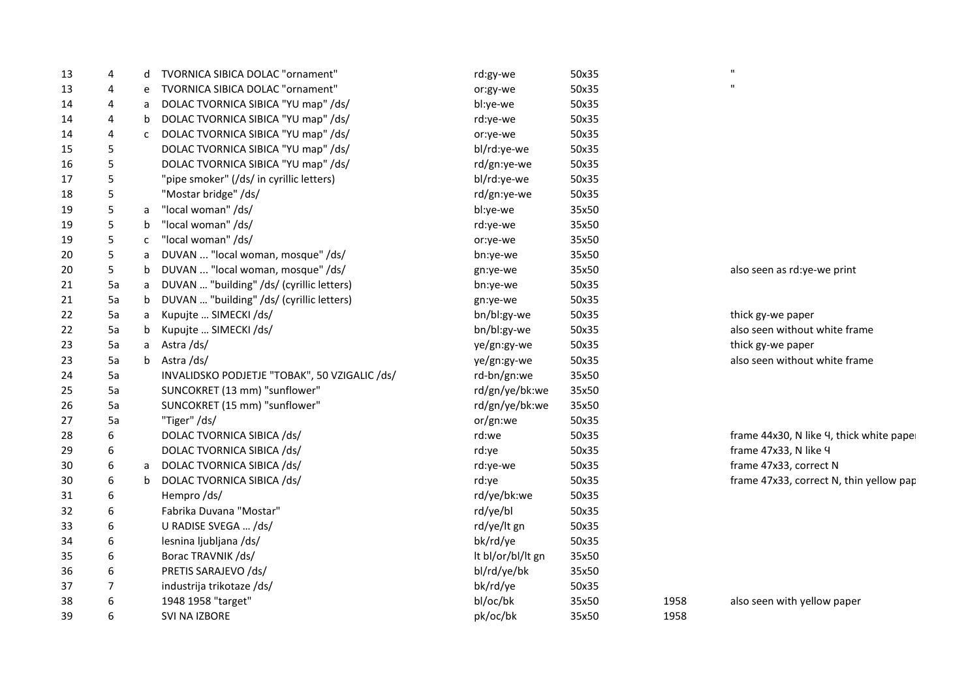| 13 | 4  | d            | TVORNICA SIBICA DOLAC "ornament"              | rd:gy-we          | 50x35 |      | $\mathbf H$                              |
|----|----|--------------|-----------------------------------------------|-------------------|-------|------|------------------------------------------|
| 13 | 4  | e            | TVORNICA SIBICA DOLAC "ornament"              | or:gy-we          | 50x35 |      | $\mathbf{H}$                             |
| 14 | 4  | a            | DOLAC TVORNICA SIBICA "YU map" /ds/           | bl:ye-we          | 50x35 |      |                                          |
| 14 | 4  | b            | DOLAC TVORNICA SIBICA "YU map" /ds/           | rd:ye-we          | 50x35 |      |                                          |
| 14 | 4  | $\mathsf{C}$ | DOLAC TVORNICA SIBICA "YU map" /ds/           | or:ye-we          | 50x35 |      |                                          |
| 15 | 5  |              | DOLAC TVORNICA SIBICA "YU map" /ds/           | bl/rd:ye-we       | 50x35 |      |                                          |
| 16 | 5  |              | DOLAC TVORNICA SIBICA "YU map" /ds/           | rd/gn:ye-we       | 50x35 |      |                                          |
| 17 | 5  |              | "pipe smoker" (/ds/ in cyrillic letters)      | bl/rd:ye-we       | 50x35 |      |                                          |
| 18 | 5  |              | "Mostar bridge" /ds/                          | rd/gn:ye-we       | 50x35 |      |                                          |
| 19 | 5  | a            | "local woman" /ds/                            | bl:ye-we          | 35x50 |      |                                          |
| 19 | 5  | b            | "local woman" /ds/                            | rd:ye-we          | 35x50 |      |                                          |
| 19 | 5  | $\mathsf{C}$ | "local woman" /ds/                            | or:ye-we          | 35x50 |      |                                          |
| 20 | 5  | a            | DUVAN  "local woman, mosque" /ds/             | bn:ye-we          | 35x50 |      |                                          |
| 20 | 5  | b            | DUVAN  "local woman, mosque" /ds/             | gn:ye-we          | 35x50 |      | also seen as rd:ye-we print              |
| 21 | 5a | a            | DUVAN  "building" /ds/ (cyrillic letters)     | bn:ye-we          | 50x35 |      |                                          |
| 21 | 5a | $\mathsf{b}$ | DUVAN  "building" /ds/ (cyrillic letters)     | gn:ye-we          | 50x35 |      |                                          |
| 22 | 5a | a            | Kupujte  SIMECKI /ds/                         | bn/bl:gy-we       | 50x35 |      | thick gy-we paper                        |
| 22 | 5a | b            | Kupujte  SIMECKI /ds/                         | bn/bl:gy-we       | 50x35 |      | also seen without white frame            |
| 23 | 5a | a            | Astra/ds/                                     | ye/gn:gy-we       | 50x35 |      | thick gy-we paper                        |
| 23 | 5a | b            | Astra/ds/                                     | ye/gn:gy-we       | 50x35 |      | also seen without white frame            |
| 24 | 5a |              | INVALIDSKO PODJETJE "TOBAK", 50 VZIGALIC /ds/ | rd-bn/gn:we       | 35x50 |      |                                          |
| 25 | 5a |              | SUNCOKRET (13 mm) "sunflower"                 | rd/gn/ye/bk:we    | 35x50 |      |                                          |
| 26 | 5a |              | SUNCOKRET (15 mm) "sunflower"                 | rd/gn/ye/bk:we    | 35x50 |      |                                          |
| 27 | 5a |              | "Tiger" /ds/                                  | or/gn:we          | 50x35 |      |                                          |
| 28 | 6  |              | DOLAC TVORNICA SIBICA /ds/                    | rd:we             | 50x35 |      | frame 44x30, N like 4, thick white paper |
| 29 | 6  |              | DOLAC TVORNICA SIBICA /ds/                    | rd:ye             | 50x35 |      | frame 47x33, N like 4                    |
| 30 | 6  | a            | DOLAC TVORNICA SIBICA /ds/                    | rd:ye-we          | 50x35 |      | frame 47x33, correct N                   |
| 30 | 6  | b            | DOLAC TVORNICA SIBICA /ds/                    | rd:ye             | 50x35 |      | frame 47x33, correct N, thin yellow pap  |
| 31 | 6  |              | Hempro/ds/                                    | rd/ye/bk:we       | 50x35 |      |                                          |
| 32 | 6  |              | Fabrika Duvana "Mostar"                       | rd/ye/bl          | 50x35 |      |                                          |
| 33 | 6  |              | U RADISE SVEGA  /ds/                          | rd/ye/lt gn       | 50x35 |      |                                          |
| 34 | 6  |              | lesnina ljubljana /ds/                        | bk/rd/ye          | 50x35 |      |                                          |
| 35 | 6  |              | Borac TRAVNIK /ds/                            | It bl/or/bl/It gn | 35x50 |      |                                          |
| 36 | 6  |              | PRETIS SARAJEVO /ds/                          | bl/rd/ye/bk       | 35x50 |      |                                          |
| 37 | 7  |              | industrija trikotaze /ds/                     | bk/rd/ye          | 50x35 |      |                                          |
| 38 | 6  |              | 1948 1958 "target"                            | bl/oc/bk          | 35x50 | 1958 | also seen with yellow paper              |
| 39 | 6  |              | SVI NA IZBORE                                 | pk/oc/bk          | 35x50 | 1958 |                                          |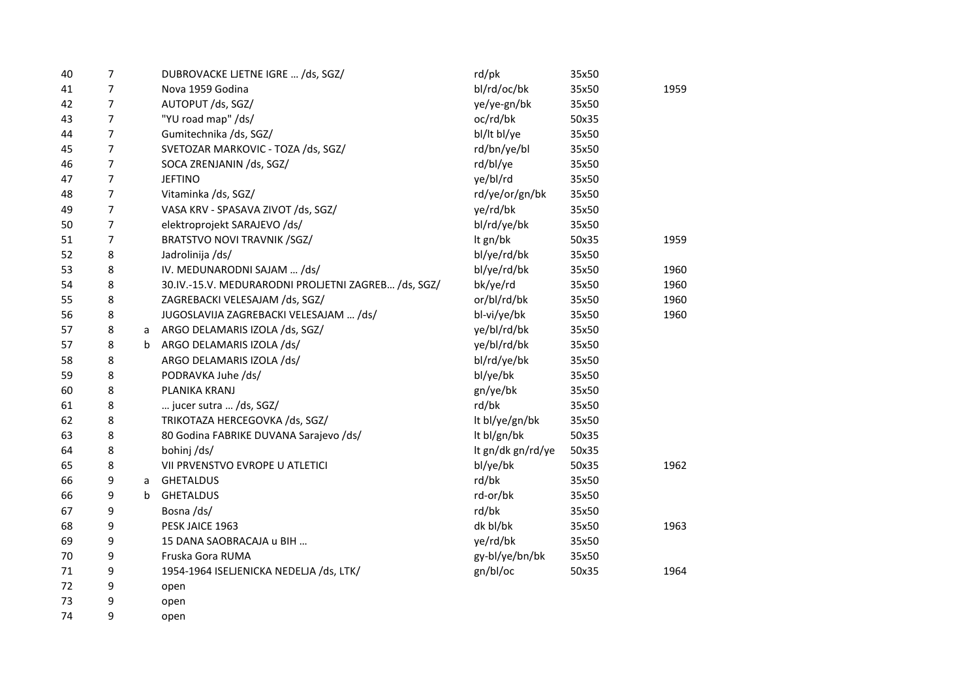| 40 | 7 |   | DUBROVACKE LJETNE IGRE  /ds, SGZ/                   | rd/pk             | 35x50 |      |
|----|---|---|-----------------------------------------------------|-------------------|-------|------|
| 41 | 7 |   | Nova 1959 Godina                                    | bl/rd/oc/bk       | 35x50 | 1959 |
| 42 | 7 |   | AUTOPUT /ds, SGZ/                                   | ye/ye-gn/bk       | 35x50 |      |
| 43 | 7 |   | "YU road map" /ds/                                  | oc/rd/bk          | 50x35 |      |
| 44 | 7 |   | Gumitechnika /ds, SGZ/                              | bl/lt bl/ye       | 35x50 |      |
| 45 | 7 |   | SVETOZAR MARKOVIC - TOZA /ds, SGZ/                  | rd/bn/ye/bl       | 35x50 |      |
| 46 | 7 |   | SOCA ZRENJANIN /ds, SGZ/                            | rd/bl/ye          | 35x50 |      |
| 47 | 7 |   | <b>JEFTINO</b>                                      | ye/bl/rd          | 35x50 |      |
| 48 | 7 |   | Vitaminka /ds, SGZ/                                 | rd/ye/or/gn/bk    | 35x50 |      |
| 49 | 7 |   | VASA KRV - SPASAVA ZIVOT /ds, SGZ/                  | ye/rd/bk          | 35x50 |      |
| 50 | 7 |   | elektroprojekt SARAJEVO /ds/                        | bl/rd/ye/bk       | 35x50 |      |
| 51 | 7 |   | <b>BRATSTVO NOVI TRAVNIK /SGZ/</b>                  | It gn/bk          | 50x35 | 1959 |
| 52 | 8 |   | Jadrolinija /ds/                                    | bl/ye/rd/bk       | 35x50 |      |
| 53 | 8 |   | IV. MEDUNARODNI SAJAM  /ds/                         | bl/ye/rd/bk       | 35x50 | 1960 |
| 54 | 8 |   | 30.IV.-15.V. MEDURARODNI PROLJETNI ZAGREB /ds, SGZ/ | bk/ye/rd          | 35x50 | 1960 |
| 55 | 8 |   | ZAGREBACKI VELESAJAM /ds, SGZ/                      | or/bl/rd/bk       | 35x50 | 1960 |
| 56 | 8 |   | JUGOSLAVIJA ZAGREBACKI VELESAJAM  /ds/              | bl-vi/ye/bk       | 35x50 | 1960 |
| 57 | 8 | a | ARGO DELAMARIS IZOLA /ds, SGZ/                      | ye/bl/rd/bk       | 35x50 |      |
| 57 | 8 | b | ARGO DELAMARIS IZOLA /ds/                           | ye/bl/rd/bk       | 35x50 |      |
| 58 | 8 |   | ARGO DELAMARIS IZOLA /ds/                           | bl/rd/ye/bk       | 35x50 |      |
| 59 | 8 |   | PODRAVKA Juhe /ds/                                  | bl/ye/bk          | 35x50 |      |
| 60 | 8 |   | PLANIKA KRANJ                                       | gn/ye/bk          | 35x50 |      |
| 61 | 8 |   | jucer sutra  /ds, SGZ/                              | rd/bk             | 35x50 |      |
| 62 | 8 |   | TRIKOTAZA HERCEGOVKA /ds, SGZ/                      | It bl/ye/gn/bk    | 35x50 |      |
| 63 | 8 |   | 80 Godina FABRIKE DUVANA Sarajevo /ds/              | It bl/gn/bk       | 50x35 |      |
| 64 | 8 |   | bohinj/ds/                                          | It gn/dk gn/rd/ye | 50x35 |      |
| 65 | 8 |   | VII PRVENSTVO EVROPE U ATLETICI                     | bl/ye/bk          | 50x35 | 1962 |
| 66 | 9 | a | <b>GHETALDUS</b>                                    | rd/bk             | 35x50 |      |
| 66 | 9 | b | <b>GHETALDUS</b>                                    | rd-or/bk          | 35x50 |      |
| 67 | 9 |   | Bosna/ds/                                           | rd/bk             | 35x50 |      |
| 68 | 9 |   | PESK JAICE 1963                                     | dk bl/bk          | 35x50 | 1963 |
| 69 | 9 |   | 15 DANA SAOBRACAJA u BIH                            | ye/rd/bk          | 35x50 |      |
| 70 | 9 |   | Fruska Gora RUMA                                    | gy-bl/ye/bn/bk    | 35x50 |      |
| 71 | 9 |   | 1954-1964 ISELJENICKA NEDELJA /ds, LTK/             | gn/bl/oc          | 50x35 | 1964 |
| 72 | 9 |   | open                                                |                   |       |      |
| 73 | 9 |   | open                                                |                   |       |      |

9 open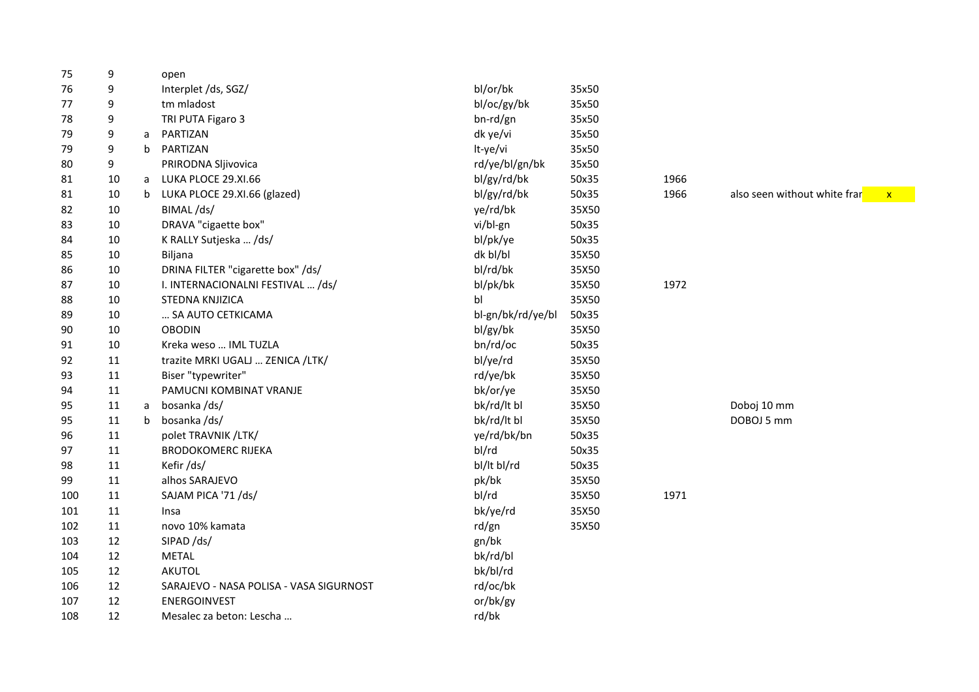| 75  | 9  |   | open                                    |                   |       |      |                                              |
|-----|----|---|-----------------------------------------|-------------------|-------|------|----------------------------------------------|
| 76  | 9  |   | Interplet /ds, SGZ/                     | bl/or/bk          | 35x50 |      |                                              |
| 77  | 9  |   | tm mladost                              | bl/oc/gy/bk       | 35x50 |      |                                              |
| 78  | 9  |   | TRI PUTA Figaro 3                       | bn-rd/gn          | 35x50 |      |                                              |
| 79  | 9  | a | PARTIZAN                                | dk ye/vi          | 35x50 |      |                                              |
| 79  | 9  | b | PARTIZAN                                | It-ye/vi          | 35x50 |      |                                              |
| 80  | 9  |   | PRIRODNA Sljivovica                     | rd/ye/bl/gn/bk    | 35x50 |      |                                              |
| 81  | 10 | a | LUKA PLOCE 29.XI.66                     | bl/gy/rd/bk       | 50x35 | 1966 |                                              |
| 81  | 10 | b | LUKA PLOCE 29.XI.66 (glazed)            | bl/gy/rd/bk       | 50x35 | 1966 | also seen without white frar<br>$\mathbf{x}$ |
| 82  | 10 |   | BIMAL/ds/                               | ye/rd/bk          | 35X50 |      |                                              |
| 83  | 10 |   | DRAVA "cigaette box"                    | vi/bl-gn          | 50x35 |      |                                              |
| 84  | 10 |   | K RALLY Sutjeska  /ds/                  | bl/pk/ye          | 50x35 |      |                                              |
| 85  | 10 |   | Biljana                                 | dk bl/bl          | 35X50 |      |                                              |
| 86  | 10 |   | DRINA FILTER "cigarette box" /ds/       | bl/rd/bk          | 35X50 |      |                                              |
| 87  | 10 |   | I. INTERNACIONALNI FESTIVAL  /ds/       | bl/pk/bk          | 35X50 | 1972 |                                              |
| 88  | 10 |   | STEDNA KNJIZICA                         | b <sub>l</sub>    | 35X50 |      |                                              |
| 89  | 10 |   | SA AUTO CETKICAMA                       | bl-gn/bk/rd/ye/bl | 50x35 |      |                                              |
| 90  | 10 |   | <b>OBODIN</b>                           | bl/gy/bk          | 35X50 |      |                                              |
| 91  | 10 |   | Kreka weso  IML TUZLA                   | bn/rd/oc          | 50x35 |      |                                              |
| 92  | 11 |   | trazite MRKI UGALJ  ZENICA /LTK/        | bl/ye/rd          | 35X50 |      |                                              |
| 93  | 11 |   | Biser "typewriter"                      | rd/ye/bk          | 35X50 |      |                                              |
| 94  | 11 |   | PAMUCNI KOMBINAT VRANJE                 | bk/or/ye          | 35X50 |      |                                              |
| 95  | 11 | a | bosanka/ds/                             | bk/rd/lt bl       | 35X50 |      | Doboj 10 mm                                  |
| 95  | 11 | b | bosanka/ds/                             | bk/rd/lt bl       | 35X50 |      | DOBOJ 5 mm                                   |
| 96  | 11 |   | polet TRAVNIK /LTK/                     | ye/rd/bk/bn       | 50x35 |      |                                              |
| 97  | 11 |   | <b>BRODOKOMERC RIJEKA</b>               | bl/rd             | 50x35 |      |                                              |
| 98  | 11 |   | Kefir /ds/                              | bl/lt bl/rd       | 50x35 |      |                                              |
| 99  | 11 |   | alhos SARAJEVO                          | pk/bk             | 35X50 |      |                                              |
| 100 | 11 |   | SAJAM PICA '71 /ds/                     | bl/rd             | 35X50 | 1971 |                                              |
| 101 | 11 |   | Insa                                    | bk/ye/rd          | 35X50 |      |                                              |
| 102 | 11 |   | novo 10% kamata                         | rd/gn             | 35X50 |      |                                              |
| 103 | 12 |   | SIPAD /ds/                              | gn/bk             |       |      |                                              |
| 104 | 12 |   | <b>METAL</b>                            | bk/rd/bl          |       |      |                                              |
| 105 | 12 |   | AKUTOL                                  | bk/bl/rd          |       |      |                                              |
| 106 | 12 |   | SARAJEVO - NASA POLISA - VASA SIGURNOST | rd/oc/bk          |       |      |                                              |
| 107 | 12 |   | ENERGOINVEST                            | or/bk/gy          |       |      |                                              |
| 108 | 12 |   | Mesalec za beton: Lescha                | rd/bk             |       |      |                                              |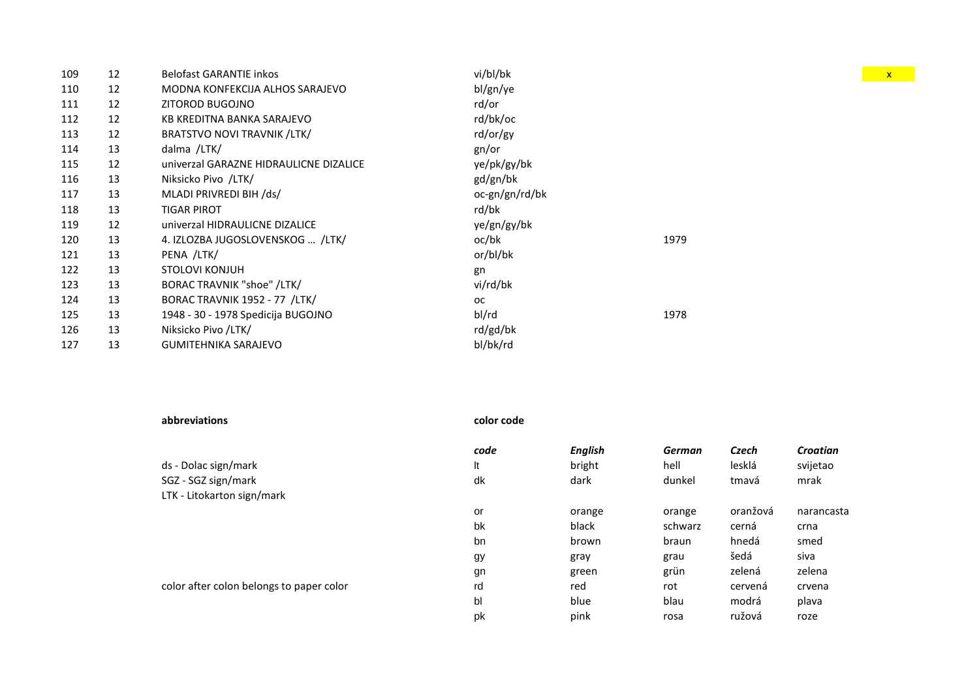| 109 | 12 | <b>Belofast GARANTIE inkos</b>         | vi/bl/bk       |      |
|-----|----|----------------------------------------|----------------|------|
| 110 | 12 | MODNA KONFEKCIJA ALHOS SARAJEVO        | bl/gn/ye       |      |
| 111 | 12 | ZITOROD BUGOJNO                        | rd/or          |      |
| 112 | 12 | KB KREDITNA BANKA SARAJEVO             | rd/bk/oc       |      |
| 113 | 12 | <b>BRATSTVO NOVI TRAVNIK /LTK/</b>     | rd/or/gy       |      |
| 114 | 13 | dalma /LTK/                            | gn/or          |      |
| 115 | 12 | univerzal GARAZNE HIDRAULICNE DIZALICE | ye/pk/gy/bk    |      |
| 116 | 13 | Niksicko Pivo /LTK/                    | gd/gn/bk       |      |
| 117 | 13 | MLADI PRIVREDI BIH /ds/                | oc-gn/gn/rd/bk |      |
| 118 | 13 | TIGAR PIROT                            | rd/bk          |      |
| 119 | 12 | univerzal HIDRAULICNE DIZALICE         | ye/gn/gy/bk    |      |
| 120 | 13 | 4. IZLOZBA JUGOSLOVENSKOG  /LTK/       | oc/bk          | 1979 |
| 121 | 13 | PENA /LTK/                             | or/bl/bk       |      |
| 122 | 13 | <b>STOLOVI KONJUH</b>                  | gn             |      |
| 123 | 13 | <b>BORAC TRAVNIK "shoe" /LTK/</b>      | vi/rd/bk       |      |
| 124 | 13 | BORAC TRAVNIK 1952 - 77 /LTK/          | <b>OC</b>      |      |
| 125 | 13 | 1948 - 30 - 1978 Spedicija BUGOJNO     | bl/rd          | 1978 |
| 126 | 13 | Niksicko Pivo /LTK/                    | rd/gd/bk       |      |
| 127 | 13 | <b>GUMITEHNIKA SARAJEVO</b>            | bl/bk/rd       |      |
|     |    |                                        |                |      |

| abbreviations                            | color code |                |               |          |                 |
|------------------------------------------|------------|----------------|---------------|----------|-----------------|
|                                          | code       | <b>English</b> | <b>German</b> | Czech    | <b>Croatian</b> |
| ds - Dolac sign/mark                     | It         | bright         | hell          | lesklá   | svijetao        |
| SGZ - SGZ sign/mark                      | dk         | dark           | dunkel        | tmavá    | mrak            |
| LTK - Litokarton sign/mark               |            |                |               |          |                 |
|                                          | or         | orange         | orange        | oranžová | narancasta      |
|                                          | bk         | black          | schwarz       | cerná    | crna            |
|                                          | bn         | brown          | braun         | hnedá    | smed            |
|                                          | gy         | gray           | grau          | šedá     | siva            |
|                                          | gn         | green          | grün          | zelená   | zelena          |
| color after colon belongs to paper color | rd         | red            | rot           | cervená  | crvena          |
|                                          | bl         | blue           | blau          | modrá    | plava           |
|                                          | pk         | pink           | rosa          | ružová   | roze            |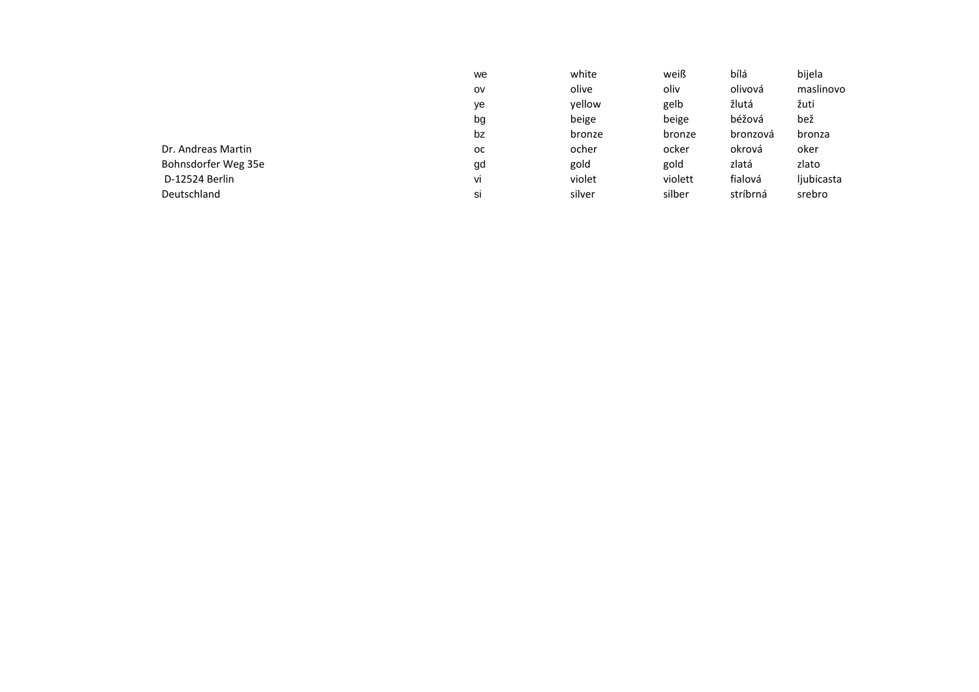|                     | we | white  | weiß    | bílá     | bijela     |
|---------------------|----|--------|---------|----------|------------|
|                     | ov | olive  | oliv    | olivová  | maslinovo  |
|                     | ye | yellow | gelb    | žlutá    | žuti       |
|                     | bg | beige  | beige   | béžová   | bež        |
|                     | bz | bronze | bronze  | bronzová | bronza     |
| Dr. Andreas Martin  | oc | ocher  | ocker   | okrová   | oker       |
| Bohnsdorfer Weg 35e | gd | gold   | gold    | zlatá    | zlato      |
| D-12524 Berlin      | Vİ | violet | violett | fialová  | ljubicasta |
| Deutschland         | si | silver | silber  | stríbrná | srebro     |